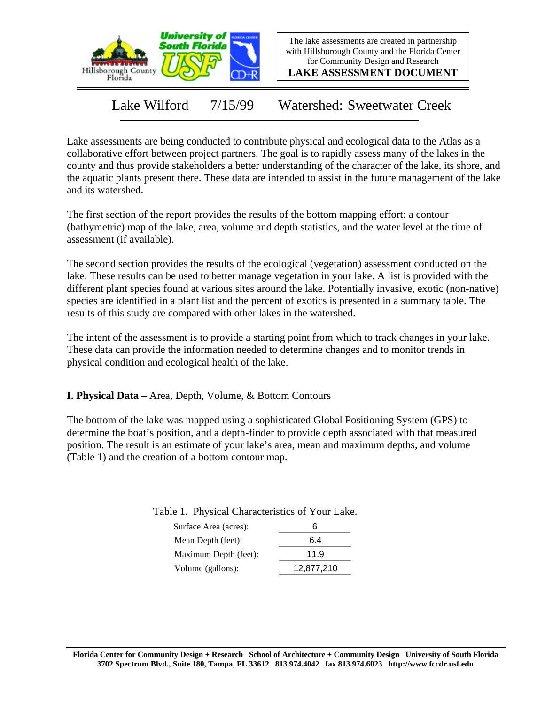

The lake assessments are created in partnership with Hillsborough County and the Florida Center for Community Design and Research

**LAKE ASSESSMENT DOCUMENT**

Lake Wilford 7/15/99 Watershed: Sweetwater Creek

Lake assessments are being conducted to contribute physical and ecological data to the Atlas as a collaborative effort between project partners. The goal is to rapidly assess many of the lakes in the county and thus provide stakeholders a better understanding of the character of the lake, its shore, and the aquatic plants present there. These data are intended to assist in the future management of the lake and its watershed.

The first section of the report provides the results of the bottom mapping effort: a contour (bathymetric) map of the lake, area, volume and depth statistics, and the water level at the time of assessment (if available).

The second section provides the results of the ecological (vegetation) assessment conducted on the lake. These results can be used to better manage vegetation in your lake. A list is provided with the different plant species found at various sites around the lake. Potentially invasive, exotic (non-native) species are identified in a plant list and the percent of exotics is presented in a summary table. The results of this study are compared with other lakes in the watershed.

The intent of the assessment is to provide a starting point from which to track changes in your lake. These data can provide the information needed to determine changes and to monitor trends in physical condition and ecological health of the lake.

**I. Physical Data –** Area, Depth, Volume, & Bottom Contours

The bottom of the lake was mapped using a sophisticated Global Positioning System (GPS) to determine the boat's position, and a depth-finder to provide depth associated with that measured position. The result is an estimate of your lake's area, mean and maximum depths, and volume (Table 1) and the creation of a bottom contour map.

Table 1. Physical Characteristics of Your Lake.

| Surface Area (acres): |            |
|-----------------------|------------|
| Mean Depth (feet):    | 6.4        |
| Maximum Depth (feet): | 11.9       |
| Volume (gallons):     | 12,877,210 |
|                       |            |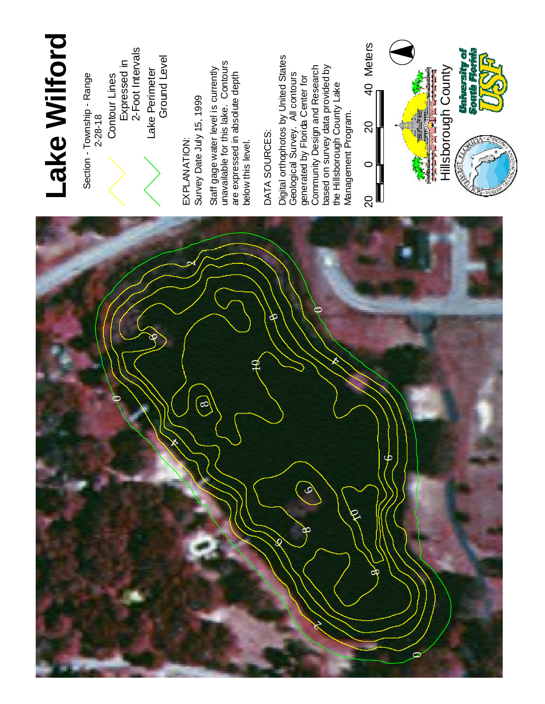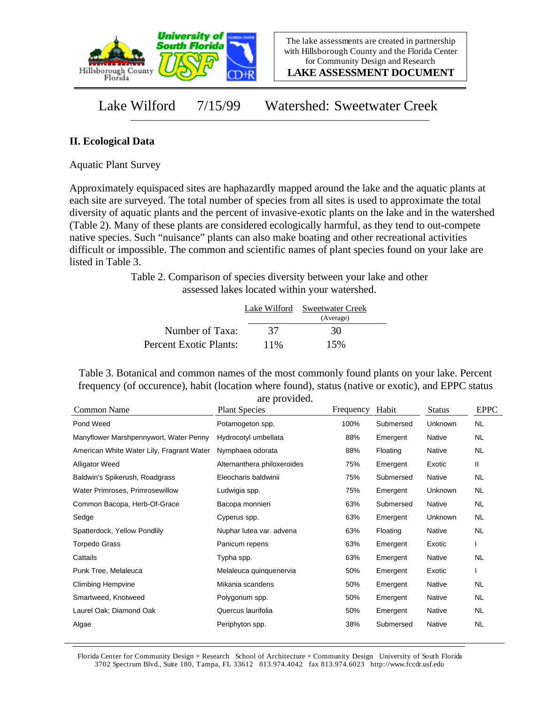

**LAKE ASSESSMENT DOCUMENT**

Lake Wilford 7/15/99 Watershed: Sweetwater Creek

## **II. Ecological Data**

Aquatic Plant Survey

Approximately equispaced sites are haphazardly mapped around the lake and the aquatic plants at each site are surveyed. The total number of species from all sites is used to approximate the total diversity of aquatic plants and the percent of invasive-exotic plants on the lake and in the watershed (Table 2). Many of these plants are considered ecologically harmful, as they tend to out-compete native species. Such "nuisance" plants can also make boating and other recreational activities difficult or impossible. The common and scientific names of plant species found on your lake are listed in Table 3.

> Table 2. Comparison of species diversity between your lake and other assessed lakes located within your watershed.

|                        |      | Lake Wilford Sweetwater Creek |  |
|------------------------|------|-------------------------------|--|
|                        |      | (Average)                     |  |
| Number of Taxa:        | 37   | 30                            |  |
| Percent Exotic Plants: | 11\% | 15%                           |  |

Table 3. Botanical and common names of the most commonly found plants on your lake. Percent frequency (of occurence), habit (location where found), status (native or exotic), and EPPC status are provided.

| Common Name                               | are provided.<br><b>Plant Species</b> | Frequency | Habit     | <b>Status</b> | <b>EPPC</b> |
|-------------------------------------------|---------------------------------------|-----------|-----------|---------------|-------------|
| Pond Weed                                 | Potamogeton spp.                      | 100%      | Submersed | Unknown       | <b>NL</b>   |
| Manyflower Marshpennywort, Water Penny    | Hydrocotyl umbellata                  | 88%       | Emergent  | Native        | NL.         |
| American White Water Lily, Fragrant Water | Nymphaea odorata                      | 88%       | Floating  | Native        | <b>NL</b>   |
| <b>Alligator Weed</b>                     | Alternanthera philoxeroides           | 75%       | Emergent  | Exotic        | Ш           |
| Baldwin's Spikerush, Roadgrass            | Eleocharis baldwinii                  | 75%       | Submersed | Native        | NL.         |
| Water Primroses, Primrosewillow           | Ludwigia spp.                         | 75%       | Emergent  | Unknown       | NL.         |
| Common Bacopa, Herb-Of-Grace              | Bacopa monnieri                       | 63%       | Submersed | Native        | NL.         |
| Sedge                                     | Cyperus spp.                          | 63%       | Emergent  | Unknown       | NL.         |
| Spatterdock, Yellow Pondlily              | Nuphar lutea var. advena              | 63%       | Floating  | Native        | NL.         |
| <b>Torpedo Grass</b>                      | Panicum repens                        | 63%       | Emergent  | Exotic        |             |
| Cattails                                  | Typha spp.                            | 63%       | Emergent  | Native        | NL.         |
| Punk Tree, Melaleuca                      | Melaleuca quinquenervia               | 50%       | Emergent  | Exotic        |             |
| <b>Climbing Hempvine</b>                  | Mikania scandens                      | 50%       | Emergent  | Native        | NL.         |
| Smartweed, Knotweed                       | Polygonum spp.                        | 50%       | Emergent  | Native        | <b>NL</b>   |
| Laurel Oak; Diamond Oak                   | Quercus laurifolia                    | 50%       | Emergent  | Native        | NL.         |
| Algae                                     | Periphyton spp.                       | 38%       | Submersed | Native        | <b>NL</b>   |

Florida Center for Community Design + Research School of Architecture + Community Design University of South Florida 3702 Spectrum Blvd., Suite 180, Tampa, FL 33612 813.974.4042 fax 813.974.6023 http://www.fccdr.usf.edu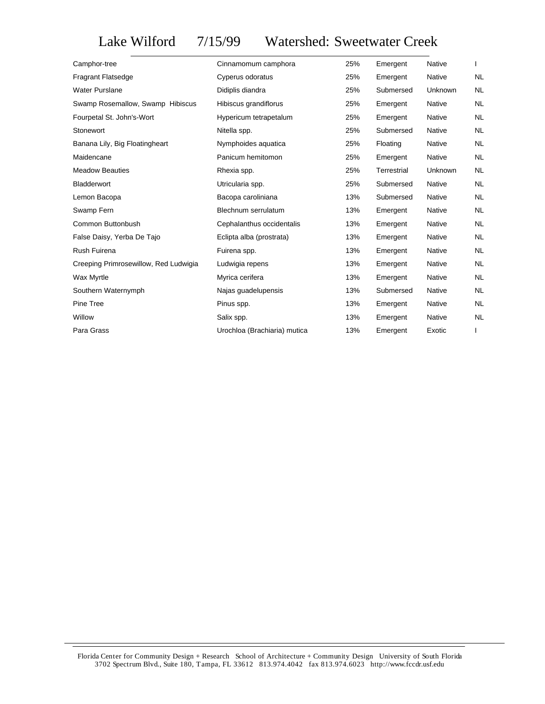Lake Wilford 7/15/99 Watershed: Sweetwater Creek

| Camphor-tree                          | Cinnamomum camphora          | 25% | Emergent    | <b>Native</b> |           |
|---------------------------------------|------------------------------|-----|-------------|---------------|-----------|
| <b>Fragrant Flatsedge</b>             | Cyperus odoratus             | 25% | Emergent    | Native        | NL.       |
| <b>Water Purslane</b>                 | Didiplis diandra             | 25% | Submersed   | Unknown       | NL        |
| Swamp Rosemallow, Swamp Hibiscus      | Hibiscus grandiflorus        | 25% | Emergent    | Native        | <b>NL</b> |
| Fourpetal St. John's-Wort             | Hypericum tetrapetalum       | 25% | Emergent    | Native        | <b>NL</b> |
| Stonewort                             | Nitella spp.                 | 25% | Submersed   | <b>Native</b> | <b>NL</b> |
| Banana Lily, Big Floatingheart        | Nymphoides aquatica          | 25% | Floating    | Native        | NL        |
| Maidencane                            | Panicum hemitomon            | 25% | Emergent    | Native        | NL        |
| <b>Meadow Beauties</b>                | Rhexia spp.                  | 25% | Terrestrial | Unknown       | NL        |
| <b>Bladderwort</b>                    | Utricularia spp.             | 25% | Submersed   | <b>Native</b> | <b>NL</b> |
| Lemon Bacopa                          | Bacopa caroliniana           | 13% | Submersed   | Native        | <b>NL</b> |
| Swamp Fern                            | Blechnum serrulatum          | 13% | Emergent    | Native        | NL.       |
| Common Buttonbush                     | Cephalanthus occidentalis    | 13% | Emergent    | Native        | NL        |
| False Daisy, Yerba De Tajo            | Eclipta alba (prostrata)     | 13% | Emergent    | Native        | NL        |
| Rush Fuirena                          | Fuirena spp.                 | 13% | Emergent    | Native        | <b>NL</b> |
| Creeping Primrosewillow, Red Ludwigia | Ludwigia repens              | 13% | Emergent    | Native        | <b>NL</b> |
| Wax Myrtle                            | Myrica cerifera              | 13% | Emergent    | Native        | <b>NL</b> |
| Southern Waternymph                   | Najas guadelupensis          | 13% | Submersed   | Native        | NL        |
| Pine Tree                             | Pinus spp.                   | 13% | Emergent    | Native        | NL        |
| Willow                                | Salix spp.                   | 13% | Emergent    | Native        | NL.       |
| Para Grass                            | Urochloa (Brachiaria) mutica | 13% | Emergent    | Exotic        |           |

Florida Center for Community Design + Research School of Architecture + Community Design University of South Florida 3702 Spectrum Blvd., Suite 180, Tampa, FL 33612 813.974.4042 fax 813.974.6023 http://www.fccdr.usf.edu